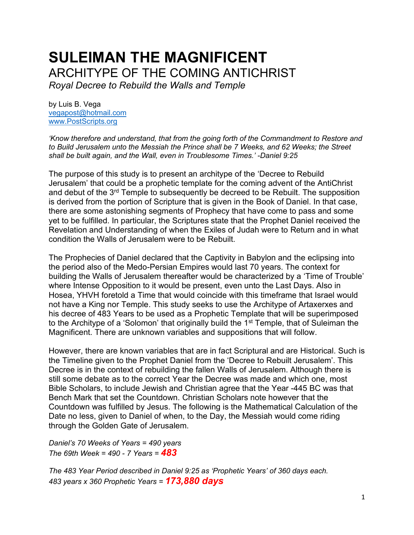# **SULEIMAN THE MAGNIFICENT** ARCHITYPE OF THE COMING ANTICHRIST

*Royal Decree to Rebuild the Walls and Temple*

by Luis B. Vega [vegapost@hotmail.com](mailto:vegapost@hotmail.com) [www.PostScripts.org](http://www.postscripts.org/)

*'Know therefore and understand, that from the going forth of the Commandment to Restore and to Build Jerusalem unto the Messiah the Prince shall be 7 Weeks, and 62 Weeks; the Street shall be built again, and the Wall, even in Troublesome Times.' -Daniel 9:25*

The purpose of this study is to present an architype of the 'Decree to Rebuild Jerusalem' that could be a prophetic template for the coming advent of the AntiChrist and debut of the 3<sup>rd</sup> Temple to subsequently be decreed to be Rebuilt. The supposition is derived from the portion of Scripture that is given in the Book of Daniel. In that case, there are some astonishing segments of Prophecy that have come to pass and some yet to be fulfilled. In particular, the Scriptures state that the Prophet Daniel received the Revelation and Understanding of when the Exiles of Judah were to Return and in what condition the Walls of Jerusalem were to be Rebuilt.

The Prophecies of Daniel declared that the Captivity in Babylon and the eclipsing into the period also of the Medo-Persian Empires would last 70 years. The context for building the Walls of Jerusalem thereafter would be characterized by a 'Time of Trouble' where Intense Opposition to it would be present, even unto the Last Days. Also in Hosea, YHVH foretold a Time that would coincide with this timeframe that Israel would not have a King nor Temple. This study seeks to use the Architype of Artaxerxes and his decree of 483 Years to be used as a Prophetic Template that will be superimposed to the Architype of a 'Solomon' that originally build the  $1<sup>st</sup>$  Temple, that of Suleiman the Magnificent. There are unknown variables and suppositions that will follow.

However, there are known variables that are in fact Scriptural and are Historical. Such is the Timeline given to the Prophet Daniel from the 'Decree to Rebuilt Jerusalem'. This Decree is in the context of rebuilding the fallen Walls of Jerusalem. Although there is still some debate as to the correct Year the Decree was made and which one, most Bible Scholars, to include Jewish and Christian agree that the Year -445 BC was that Bench Mark that set the Countdown. Christian Scholars note however that the Countdown was fulfilled by Jesus. The following is the Mathematical Calculation of the Date no less, given to Daniel of when, to the Day, the Messiah would come riding through the Golden Gate of Jerusalem.

*Daniel's 70 Weeks of Years = 490 years The 69th Week = 490 - 7 Years = 483*

*The 483 Year Period described in Daniel 9:25 as 'Prophetic Years' of 360 days each. 483 years x 360 Prophetic Years = 173,880 days*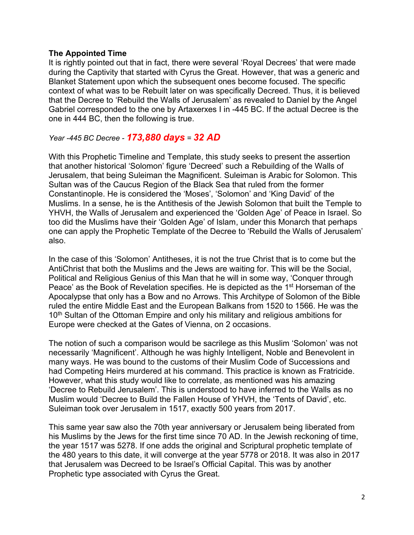#### **The Appointed Time**

It is rightly pointed out that in fact, there were several 'Royal Decrees' that were made during the Captivity that started with Cyrus the Great. However, that was a generic and Blanket Statement upon which the subsequent ones become focused. The specific context of what was to be Rebuilt later on was specifically Decreed. Thus, it is believed that the Decree to 'Rebuild the Walls of Jerusalem' as revealed to Daniel by the Angel Gabriel corresponded to the one by Artaxerxes I in -445 BC. If the actual Decree is the one in 444 BC, then the following is true.

### *Year -445 BC Decree - 173,880 days = 32 AD*

With this Prophetic Timeline and Template, this study seeks to present the assertion that another historical 'Solomon' figure 'Decreed' such a Rebuilding of the Walls of Jerusalem, that being Suleiman the Magnificent. Suleiman is Arabic for Solomon. This Sultan was of the Caucus Region of the Black Sea that ruled from the former Constantinople. He is considered the 'Moses', 'Solomon' and 'King David' of the Muslims. In a sense, he is the Antithesis of the Jewish Solomon that built the Temple to YHVH, the Walls of Jerusalem and experienced the 'Golden Age' of Peace in Israel. So too did the Muslims have their 'Golden Age' of Islam, under this Monarch that perhaps one can apply the Prophetic Template of the Decree to 'Rebuild the Walls of Jerusalem' also.

In the case of this 'Solomon' Antitheses, it is not the true Christ that is to come but the AntiChrist that both the Muslims and the Jews are waiting for. This will be the Social, Political and Religious Genius of this Man that he will in some way, 'Conquer through Peace' as the Book of Revelation specifies. He is depicted as the 1<sup>st</sup> Horseman of the Apocalypse that only has a Bow and no Arrows. This Architype of Solomon of the Bible ruled the entire Middle East and the European Balkans from 1520 to 1566. He was the 10<sup>th</sup> Sultan of the Ottoman Empire and only his military and religious ambitions for Europe were checked at the Gates of Vienna, on 2 occasions.

The notion of such a comparison would be sacrilege as this Muslim 'Solomon' was not necessarily 'Magnificent'. Although he was highly Intelligent, Noble and Benevolent in many ways. He was bound to the customs of their Muslim Code of Successions and had Competing Heirs murdered at his command. This practice is known as Fratricide. However, what this study would like to correlate, as mentioned was his amazing 'Decree to Rebuild Jerusalem'. This is understood to have inferred to the Walls as no Muslim would 'Decree to Build the Fallen House of YHVH, the 'Tents of David', etc. Suleiman took over Jerusalem in 1517, exactly 500 years from 2017.

This same year saw also the 70th year anniversary or Jerusalem being liberated from his Muslims by the Jews for the first time since 70 AD. In the Jewish reckoning of time, the year 1517 was 5278. If one adds the original and Scriptural prophetic template of the 480 years to this date, it will converge at the year 5778 or 2018. It was also in 2017 that Jerusalem was Decreed to be Israel's Official Capital. This was by another Prophetic type associated with Cyrus the Great.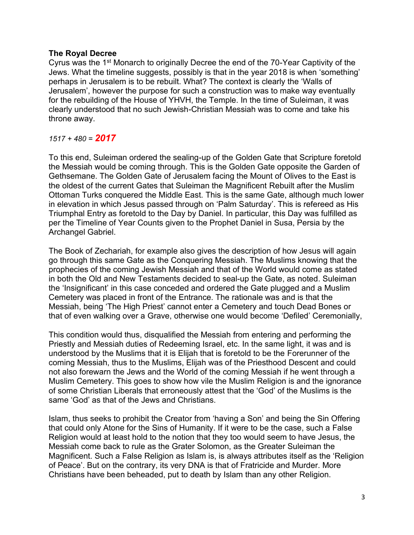#### **The Royal Decree**

Cyrus was the 1st Monarch to originally Decree the end of the 70-Year Captivity of the Jews. What the timeline suggests, possibly is that in the year 2018 is when 'something' perhaps in Jerusalem is to be rebuilt. What? The context is clearly the 'Walls of Jerusalem', however the purpose for such a construction was to make way eventually for the rebuilding of the House of YHVH, the Temple. In the time of Suleiman, it was clearly understood that no such Jewish-Christian Messiah was to come and take his throne away.

#### *1517 + 480 = 2017*

To this end, Suleiman ordered the sealing-up of the Golden Gate that Scripture foretold the Messiah would be coming through. This is the Golden Gate opposite the Garden of Gethsemane. The Golden Gate of Jerusalem facing the Mount of Olives to the East is the oldest of the current Gates that Suleiman the Magnificent Rebuilt after the Muslim Ottoman Turks conquered the Middle East. This is the same Gate, although much lower in elevation in which Jesus passed through on 'Palm Saturday'. This is refereed as His Triumphal Entry as foretold to the Day by Daniel. In particular, this Day was fulfilled as per the Timeline of Year Counts given to the Prophet Daniel in Susa, Persia by the Archangel Gabriel.

The Book of Zechariah, for example also gives the description of how Jesus will again go through this same Gate as the Conquering Messiah. The Muslims knowing that the prophecies of the coming Jewish Messiah and that of the World would come as stated in both the Old and New Testaments decided to seal-up the Gate, as noted. Suleiman the 'Insignificant' in this case conceded and ordered the Gate plugged and a Muslim Cemetery was placed in front of the Entrance. The rationale was and is that the Messiah, being 'The High Priest' cannot enter a Cemetery and touch Dead Bones or that of even walking over a Grave, otherwise one would become 'Defiled' Ceremonially,

This condition would thus, disqualified the Messiah from entering and performing the Priestly and Messiah duties of Redeeming Israel, etc. In the same light, it was and is understood by the Muslims that it is Elijah that is foretold to be the Forerunner of the coming Messiah, thus to the Muslims, Elijah was of the Priesthood Descent and could not also forewarn the Jews and the World of the coming Messiah if he went through a Muslim Cemetery. This goes to show how vile the Muslim Religion is and the ignorance of some Christian Liberals that erroneously attest that the 'God' of the Muslims is the same 'God' as that of the Jews and Christians.

Islam, thus seeks to prohibit the Creator from 'having a Son' and being the Sin Offering that could only Atone for the Sins of Humanity. If it were to be the case, such a False Religion would at least hold to the notion that they too would seem to have Jesus, the Messiah come back to rule as the Grater Solomon, as the Greater Suleiman the Magnificent. Such a False Religion as Islam is, is always attributes itself as the 'Religion of Peace'. But on the contrary, its very DNA is that of Fratricide and Murder. More Christians have been beheaded, put to death by Islam than any other Religion.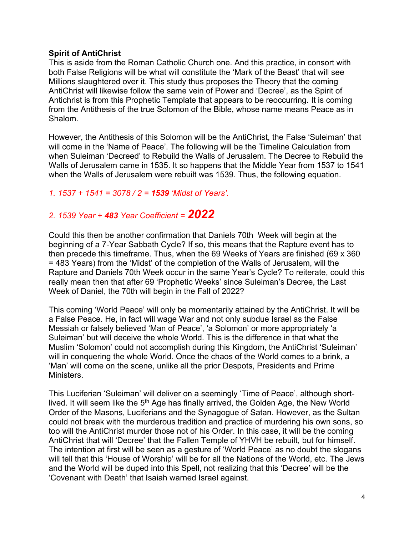#### **Spirit of AntiChrist**

This is aside from the Roman Catholic Church one. And this practice, in consort with both False Religions will be what will constitute the 'Mark of the Beast' that will see Millions slaughtered over it. This study thus proposes the Theory that the coming AntiChrist will likewise follow the same vein of Power and 'Decree', as the Spirit of Antichrist is from this Prophetic Template that appears to be reoccurring. It is coming from the Antithesis of the true Solomon of the Bible, whose name means Peace as in Shalom.

However, the Antithesis of this Solomon will be the AntiChrist, the False 'Suleiman' that will come in the 'Name of Peace'. The following will be the Timeline Calculation from when Suleiman 'Decreed' to Rebuild the Walls of Jerusalem. The Decree to Rebuild the Walls of Jerusalem came in 1535. It so happens that the Middle Year from 1537 to 1541 when the Walls of Jerusalem were rebuilt was 1539. Thus, the following equation.

#### *1. 1537 + 1541 = 3078 / 2 = 1539 'Midst of Years'.*

## *2. 1539 Year + 483 Year Coefficient = 2022*

Could this then be another confirmation that Daniels 70th Week will begin at the beginning of a 7-Year Sabbath Cycle? If so, this means that the Rapture event has to then precede this timeframe. Thus, when the 69 Weeks of Years are finished (69 x 360 = 483 Years) from the 'Midst' of the completion of the Walls of Jerusalem, will the Rapture and Daniels 70th Week occur in the same Year's Cycle? To reiterate, could this really mean then that after 69 'Prophetic Weeks' since Suleiman's Decree, the Last Week of Daniel, the 70th will begin in the Fall of 2022?

This coming 'World Peace' will only be momentarily attained by the AntiChrist. It will be a False Peace. He, in fact will wage War and not only subdue Israel as the False Messiah or falsely believed 'Man of Peace', 'a Solomon' or more appropriately 'a Suleiman' but will deceive the whole World. This is the difference in that what the Muslim 'Solomon' could not accomplish during this Kingdom, the AntiChrist 'Suleiman' will in conquering the whole World. Once the chaos of the World comes to a brink, a 'Man' will come on the scene, unlike all the prior Despots, Presidents and Prime Ministers.

This Luciferian 'Suleiman' will deliver on a seemingly 'Time of Peace', although shortlived. It will seem like the 5<sup>th</sup> Age has finally arrived, the Golden Age, the New World Order of the Masons, Luciferians and the Synagogue of Satan. However, as the Sultan could not break with the murderous tradition and practice of murdering his own sons, so too will the AntiChrist murder those not of his Order. In this case, it will be the coming AntiChrist that will 'Decree' that the Fallen Temple of YHVH be rebuilt, but for himself. The intention at first will be seen as a gesture of 'World Peace' as no doubt the slogans will tell that this 'House of Worship' will be for all the Nations of the World, etc. The Jews and the World will be duped into this Spell, not realizing that this 'Decree' will be the 'Covenant with Death' that Isaiah warned Israel against.